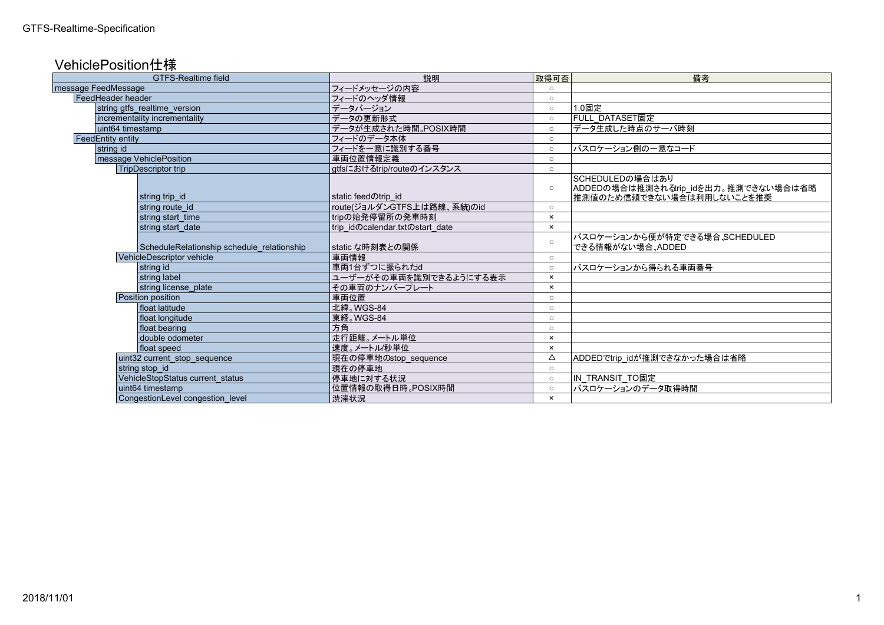## VehiclePosition仕様

| <b>GTFS-Realtime field</b>                 | 説明                              | 取得可否                      | 備考                                                                                   |
|--------------------------------------------|---------------------------------|---------------------------|--------------------------------------------------------------------------------------|
| message FeedMessage                        | フィードメッセージの内容                    | $\cap$                    |                                                                                      |
| FeedHeader header                          | フィードのヘッダ情報                      | $\circ$                   |                                                                                      |
| string gtfs_realtime_version               | データバージョン                        | $\circ$                   | 1.0固定                                                                                |
| incrementality incrementality              | データの更新形式                        | $\circ$                   | FULL DATASET固定                                                                       |
| uint64 timestamp                           | データが生成された時間。POSIX時間             | $\circ$                   | データ生成した時点のサーバ時刻                                                                      |
| <b>FeedEntity entity</b>                   | フィードのデータ本体                      | $\circ$                   |                                                                                      |
| string id                                  | フィードを一意に識別する番号                  | $\circ$                   | バスロケーション側の一意なコード                                                                     |
| message VehiclePosition                    | 車両位置情報定義                        | $\circ$                   |                                                                                      |
| <b>TripDescriptor trip</b>                 | gtfsにおけるtrip/routeのインスタンス       | $\circ$                   |                                                                                      |
| string trip id                             | static feedのtrip id             | $\circ$                   | SCHEDULEDの場合はあり<br>ADDEDの場合は推測されるtrip_idを出力。推測できない場合は省略<br>推測値のため信頼できない場合は利用しないことを推奨 |
| string route id                            | route(ジョルダンGTFS上は路線、系統)のid      | $\circ$                   |                                                                                      |
| string start time                          | tripの始発停留所の発車時刻                 | $\boldsymbol{\mathsf{x}}$ |                                                                                      |
| string start date                          | trip idのcalendar.txtのstart date | $\pmb{\times}$            |                                                                                      |
| ScheduleRelationship schedule relationship | static な時刻表との関係                 | $\circ$                   | バスロケーションから便が特定できる場合、SCHEDULED<br>できる情報がない場合、ADDED                                    |
| VehicleDescriptor vehicle                  | 車両情報                            | $\circ$                   |                                                                                      |
| string id                                  | 車両1台ずつに振られたid                   | $\circ$                   | バスロケーションから得られる車両番号                                                                   |
| string label                               | ユーザーがその車両を識別できるようにする表示          | $\boldsymbol{\mathsf{x}}$ |                                                                                      |
| string license plate                       | その車両のナンバープレート                   | ×                         |                                                                                      |
| Position position                          | 車両位置                            | $\circ$                   |                                                                                      |
| float latitude                             | 北緯。WGS-84                       | $\circ$                   |                                                                                      |
| float longitude                            | 東経。WGS-84                       | $\circ$                   |                                                                                      |
| float bearing                              | 方角                              | $\circ$                   |                                                                                      |
| double odometer                            | 走行距離。メートル単位                     | $\boldsymbol{\mathsf{x}}$ |                                                                                      |
| float speed                                | 速度。メートル/秒単位                     | $\boldsymbol{\mathsf{x}}$ |                                                                                      |
| uint32 current_stop_sequence               | 現在の停車地のstop sequence            | Δ                         | ADDEDでtrip idが推測できなかった場合は省略                                                          |
| string stop id                             | 現在の停車地                          | $\circ$                   |                                                                                      |
| VehicleStopStatus current_status           | 停車地に対する状況                       | $\circ$                   | <b>IN_TRANSIT_TO固定</b>                                                               |
| uint64 timestamp                           | 位置情報の取得日時。POSIX時間               | $\circ$                   | バスロケーションのデータ取得時間                                                                     |
| CongestionLevel congestion level           | 渋滞状況                            | $\boldsymbol{\mathsf{x}}$ |                                                                                      |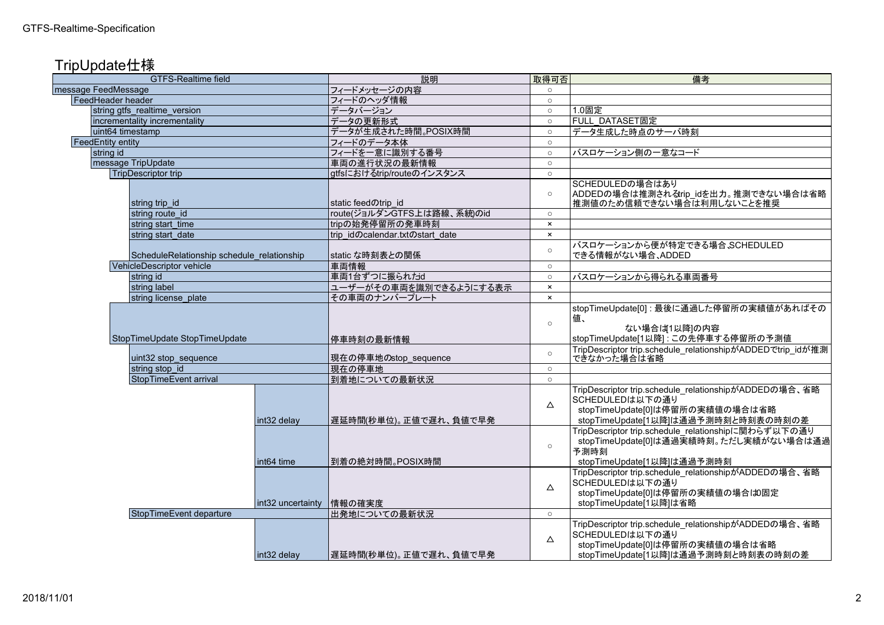## TripUpdate仕様

| <b>GTFS-Realtime field</b>                 |                          | 説明                              | 取得可否           | 備考                                                                                                                                                 |
|--------------------------------------------|--------------------------|---------------------------------|----------------|----------------------------------------------------------------------------------------------------------------------------------------------------|
| message FeedMessage                        |                          | フィードメッセージの内容                    | $\circ$        |                                                                                                                                                    |
| FeedHeader header                          |                          | フィードのヘッダ情報                      | $\circ$        |                                                                                                                                                    |
| string gtfs realtime version               |                          | データバージョン                        | $\circ$        | 1.0固定                                                                                                                                              |
| incrementality incrementality              |                          | データの更新形式                        | $\circ$        | <b>FULL DATASET固定</b>                                                                                                                              |
| uint64 timestamp                           |                          | データが生成された時間。POSIX時間             | $\circ$        | データ生成した時点のサーバ時刻                                                                                                                                    |
| <b>FeedEntity entity</b>                   |                          | フィードのデータ本体                      | $\circ$        |                                                                                                                                                    |
| string id                                  |                          | フィードを一意に識別する番号                  | $\circ$        | バスロケーション側の一意なコード                                                                                                                                   |
| message TripUpdate                         |                          | 車両の進行状況の最新情報                    | $\circ$        |                                                                                                                                                    |
| <b>TripDescriptor trip</b>                 |                          | gtfsにおけるtrip/routeのインスタンス       | $\circ$        |                                                                                                                                                    |
| string trip_id                             |                          | static feedのtrip id             | $\circ$        | SCHEDULEDの場合はあり<br>ADDEDの場合は推測されるtrip_idを出力。推測できない場合は省略<br>推測値のため信頼できない場合は利用しないことを推奨                                                               |
| string route id                            |                          | route(ジョルダンGTFS上は路線、系統)のid      | $\circ$        |                                                                                                                                                    |
| string start time                          |                          | tripの始発停留所の発車時刻                 | $\times$       |                                                                                                                                                    |
| string start_date                          |                          | trip idのcalendar.txtのstart date | $\mathbf{x}$   |                                                                                                                                                    |
| ScheduleRelationship schedule relationship |                          | static な時刻表との関係                 | $\circ$        | バスロケーションから便が特定できる場合、SCHEDULED<br>できる情報がない場合、ADDED                                                                                                  |
| VehicleDescriptor vehicle                  |                          | 車両情報                            | $\circ$        |                                                                                                                                                    |
| string id                                  |                          | 車両1台ずつに振られたid                   | $\circ$        | バスロケーションから得られる車両番号                                                                                                                                 |
| string label                               |                          | ユーザーがその車両を識別できるようにする表示          | $\pmb{\times}$ |                                                                                                                                                    |
| string license_plate                       |                          | その車両のナンバープレート                   | $\mathbf{x}$   |                                                                                                                                                    |
| StopTimeUpdate StopTimeUpdate              |                          | 停車時刻の最新情報                       | $\circ$        | stopTimeUpdate[0]: 最後に通過した停留所の実績値があればその<br> 値、<br>ない場合は1以降]の内容<br>stopTimeUpdate[1以降]:この先停車する停留所の予測値                                               |
| uint32 stop_sequence                       |                          | 現在の停車地のstop_sequence            | $\circ$        | TripDescriptor trip.schedule_relationshipがADDEDでtrip_idが推測<br>できなかった場合は省略                                                                          |
| string stop_id                             |                          | 現在の停車地                          | $\circ$        |                                                                                                                                                    |
| StopTimeEvent arrival                      |                          | 到着地についての最新状況                    | $\circ$        |                                                                                                                                                    |
|                                            | int32 delay              | 遅延時間(秒単位)。正値で遅れ、負値で早発           | $\Delta$       | TripDescriptor trip.schedule relationshipがADDEDの場合、省略<br>SCHEDULEDは以下の通り<br>stopTimeUpdate[0]は停留所の実績値の場合は省略<br>stopTimeUpdate[1以降]は通過予測時刻と時刻表の時刻の差 |
|                                            | int64 time               | 到着の絶対時間。POSIX時間                 | $\circ$        | TripDescriptor trip.schedule_relationshipに関わらず以下の通り<br>stopTimeUpdate[0]は通過実績時刻。ただし実績がない場合は通過<br>予測時刻<br>stopTimeUpdate[1以降]は通過予測時刻                |
|                                            | int32 uncertainty 情報の確実度 |                                 | $\triangle$    | TripDescriptor trip.schedule_relationshipがADDEDの場合、省略<br>SCHEDULEDは以下の通り<br>stopTimeUpdate[0]は停留所の実績値の場合は0固定<br>stopTimeUpdate[1以降]は省略             |
| StopTimeEvent departure                    |                          | 出発地についての最新状況                    | $\circ$        |                                                                                                                                                    |
|                                            | int32 delay              | 遅延時間(秒単位)。正値で遅れ、負値で早発           | $\Delta$       | TripDescriptor trip.schedule_relationshipがADDEDの場合、省略<br>SCHEDULEDは以下の通り<br>stopTimeUpdate[0]は停留所の実績値の場合は省略<br>stopTimeUpdate[1以降]は通過予測時刻と時刻表の時刻の差 |